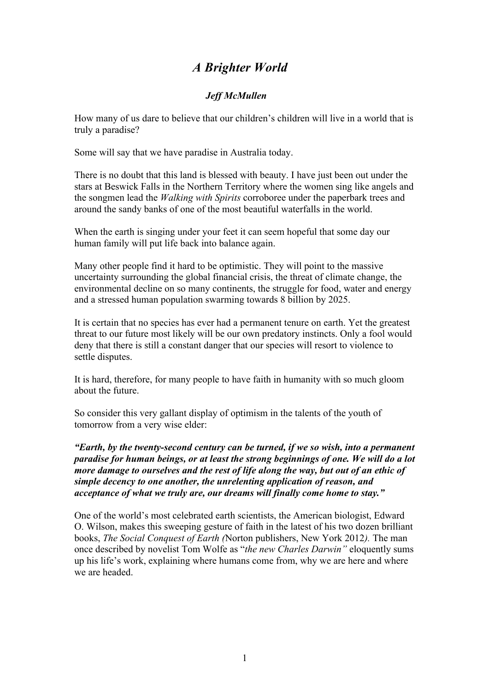## *A Brighter World*

## *Jeff McMullen*

How many of us dare to believe that our children's children will live in a world that is truly a paradise?

Some will say that we have paradise in Australia today.

There is no doubt that this land is blessed with beauty. I have just been out under the stars at Beswick Falls in the Northern Territory where the women sing like angels and the songmen lead the *Walking with Spirits* corroboree under the paperbark trees and around the sandy banks of one of the most beautiful waterfalls in the world.

When the earth is singing under your feet it can seem hopeful that some day our human family will put life back into balance again.

Many other people find it hard to be optimistic. They will point to the massive uncertainty surrounding the global financial crisis, the threat of climate change, the environmental decline on so many continents, the struggle for food, water and energy and a stressed human population swarming towards 8 billion by 2025.

It is certain that no species has ever had a permanent tenure on earth. Yet the greatest threat to our future most likely will be our own predatory instincts. Only a fool would deny that there is still a constant danger that our species will resort to violence to settle disputes.

It is hard, therefore, for many people to have faith in humanity with so much gloom about the future.

So consider this very gallant display of optimism in the talents of the youth of tomorrow from a very wise elder:

*"Earth, by the twenty-second century can be turned, if we so wish, into a permanent paradise for human beings, or at least the strong beginnings of one. We will do a lot more damage to ourselves and the rest of life along the way, but out of an ethic of simple decency to one another, the unrelenting application of reason, and acceptance of what we truly are, our dreams will finally come home to stay."*

One of the world's most celebrated earth scientists, the American biologist, Edward O. Wilson, makes this sweeping gesture of faith in the latest of his two dozen brilliant books, *The Social Conquest of Earth (*Norton publishers, New York 2012*).* The man once described by novelist Tom Wolfe as "*the new Charles Darwin"* eloquently sums up his life's work, explaining where humans come from, why we are here and where we are headed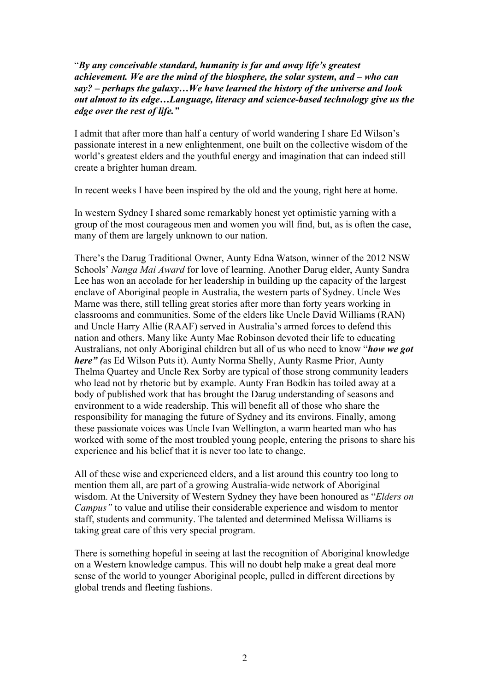"*By any conceivable standard, humanity is far and away life's greatest achievement. We are the mind of the biosphere, the solar system, and – who can say? – perhaps the galaxy…We have learned the history of the universe and look out almost to its edge…Language, literacy and science-based technology give us the edge over the rest of life."*

I admit that after more than half a century of world wandering I share Ed Wilson's passionate interest in a new enlightenment, one built on the collective wisdom of the world's greatest elders and the youthful energy and imagination that can indeed still create a brighter human dream.

In recent weeks I have been inspired by the old and the young, right here at home.

In western Sydney I shared some remarkably honest yet optimistic yarning with a group of the most courageous men and women you will find, but, as is often the case, many of them are largely unknown to our nation.

There's the Darug Traditional Owner, Aunty Edna Watson, winner of the 2012 NSW Schools' *Nanga Mai Award* for love of learning. Another Darug elder, Aunty Sandra Lee has won an accolade for her leadership in building up the capacity of the largest enclave of Aboriginal people in Australia, the western parts of Sydney. Uncle Wes Marne was there, still telling great stories after more than forty years working in classrooms and communities. Some of the elders like Uncle David Williams (RAN) and Uncle Harry Allie (RAAF) served in Australia's armed forces to defend this nation and others. Many like Aunty Mae Robinson devoted their life to educating Australians, not only Aboriginal children but all of us who need to know "*how we got here" (*as Ed Wilson Puts it). Aunty Norma Shelly, Aunty Rasme Prior, Aunty Thelma Quartey and Uncle Rex Sorby are typical of those strong community leaders who lead not by rhetoric but by example. Aunty Fran Bodkin has toiled away at a body of published work that has brought the Darug understanding of seasons and environment to a wide readership. This will benefit all of those who share the responsibility for managing the future of Sydney and its environs. Finally, among these passionate voices was Uncle Ivan Wellington, a warm hearted man who has worked with some of the most troubled young people, entering the prisons to share his experience and his belief that it is never too late to change.

All of these wise and experienced elders, and a list around this country too long to mention them all, are part of a growing Australia-wide network of Aboriginal wisdom. At the University of Western Sydney they have been honoured as "*Elders on Campus"* to value and utilise their considerable experience and wisdom to mentor staff, students and community. The talented and determined Melissa Williams is taking great care of this very special program.

There is something hopeful in seeing at last the recognition of Aboriginal knowledge on a Western knowledge campus. This will no doubt help make a great deal more sense of the world to younger Aboriginal people, pulled in different directions by global trends and fleeting fashions.